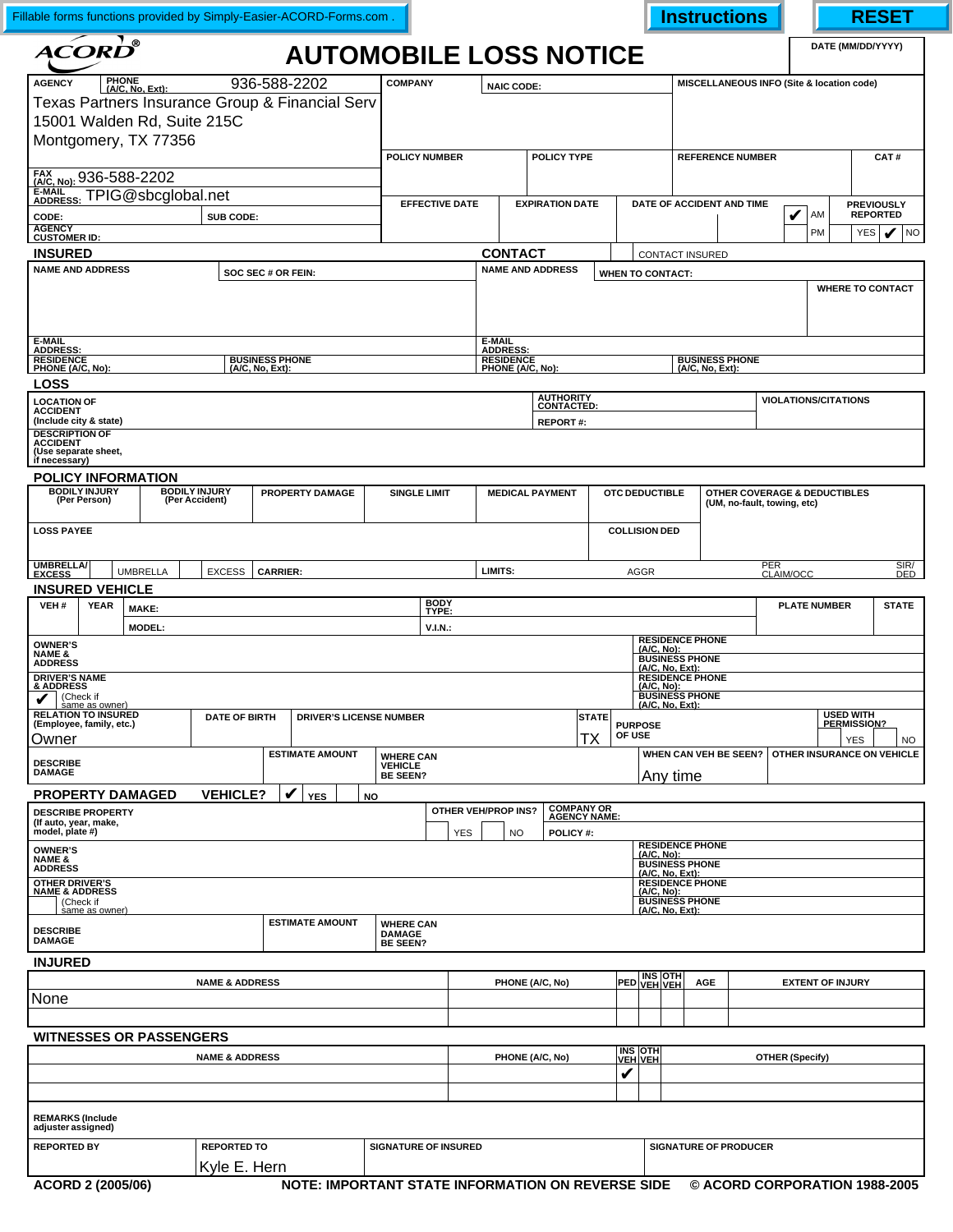| Fillable forms functions provided by Simply-Easier-ACORD-Forms.com.                               |                                |                                                                                 |                                   |                     |                                     |                                                                           |                        |                                          |                                               | <b>Instructions</b>          |                                           |                              | <b>RESET</b>            |  |  |
|---------------------------------------------------------------------------------------------------|--------------------------------|---------------------------------------------------------------------------------|-----------------------------------|---------------------|-------------------------------------|---------------------------------------------------------------------------|------------------------|------------------------------------------|-----------------------------------------------|------------------------------|-------------------------------------------|------------------------------|-------------------------|--|--|
| $\mathbf{\Lambda}\widetilde{\mathbf{CORD}^{\mathsf{B}}}$                                          |                                | <b>AUTOMOBILE LOSS NOTICE</b>                                                   |                                   |                     |                                     |                                                                           |                        |                                          |                                               |                              |                                           |                              | DATE (MM/DD/YYYY)       |  |  |
| <b>PHONE</b><br><b>AGENCY</b><br>(A/C, No, Ext):                                                  | 936-588-2202<br><b>COMPANY</b> |                                                                                 |                                   |                     |                                     | <b>NAIC CODE:</b>                                                         |                        |                                          |                                               |                              | MISCELLANEOUS INFO (Site & location code) |                              |                         |  |  |
| Texas Partners Insurance Group & Financial Serv                                                   |                                |                                                                                 |                                   |                     |                                     |                                                                           |                        |                                          |                                               |                              |                                           |                              |                         |  |  |
| 15001 Walden Rd, Suite 215C                                                                       |                                |                                                                                 |                                   |                     |                                     |                                                                           |                        |                                          |                                               |                              |                                           |                              |                         |  |  |
| Montgomery, TX 77356                                                                              |                                |                                                                                 |                                   |                     |                                     |                                                                           |                        |                                          |                                               |                              |                                           |                              |                         |  |  |
|                                                                                                   |                                |                                                                                 | <b>POLICY NUMBER</b>              |                     |                                     | POLICY TYPE                                                               |                        |                                          |                                               | <b>REFERENCE NUMBER</b>      |                                           |                              | CAT#                    |  |  |
| FAX (A/C, No): 936-588-2202                                                                       |                                |                                                                                 |                                   |                     |                                     |                                                                           |                        |                                          |                                               |                              |                                           |                              |                         |  |  |
| E-MAIL<br>ADDRESS: TPIG@sbcglobal.net                                                             |                                | <b>EFFECTIVE DATE</b>                                                           |                                   |                     | <b>EXPIRATION DATE</b>              |                                                                           |                        | DATE OF ACCIDENT AND TIME                |                                               |                              | <b>PREVIOUSLY</b>                         |                              |                         |  |  |
| CODE:                                                                                             |                                |                                                                                 |                                   |                     |                                     |                                                                           |                        |                                          | V                                             | AM                           | <b>REPORTED</b>                           |                              |                         |  |  |
| <b>AGENCY</b><br><b>CUSTOMER ID:</b>                                                              |                                |                                                                                 |                                   |                     |                                     |                                                                           |                        |                                          |                                               | PM                           | $ V ^{NQ}$<br>YES                         |                              |                         |  |  |
| <b>INSURED</b>                                                                                    |                                |                                                                                 |                                   |                     | <b>CONTACT</b>                      |                                                                           |                        | <b>CONTACT INSURED</b>                   |                                               |                              |                                           |                              |                         |  |  |
| <b>NAME AND ADDRESS</b><br>SOC SEC # OR FEIN:                                                     |                                |                                                                                 |                                   |                     | <b>NAME AND ADDRESS</b>             |                                                                           |                        | <b>WHEN TO CONTACT:</b>                  |                                               |                              |                                           |                              |                         |  |  |
| E-MAIL                                                                                            |                                |                                                                                 |                                   |                     | E-MAIL                              |                                                                           |                        |                                          |                                               |                              |                                           |                              | <b>WHERE TO CONTACT</b> |  |  |
| <b>ADDRESS:</b><br><b>RESIDENCE</b><br><b>BUSINESS PHONE</b>                                      |                                |                                                                                 |                                   |                     | <b>ADDRESS:</b><br><b>RESIDENCE</b> |                                                                           |                        |                                          | <b>BUSINESS PHONE</b>                         |                              |                                           |                              |                         |  |  |
| PHONE (A/C, No):                                                                                  |                                | (A/C, No, Ext):                                                                 |                                   |                     | PHONE (A/C, No):                    |                                                                           |                        |                                          | (A/C, No, Ext):                               |                              |                                           |                              |                         |  |  |
| <b>LOSS</b>                                                                                       |                                |                                                                                 |                                   |                     |                                     |                                                                           |                        |                                          |                                               |                              |                                           |                              |                         |  |  |
| <b>LOCATION OF</b><br><b>ACCIDENT</b>                                                             |                                |                                                                                 |                                   |                     |                                     | <b>AUTHORITY</b><br>CONTACTED:                                            |                        |                                          |                                               |                              |                                           | <b>VIOLATIONS/CITATIONS</b>  |                         |  |  |
| (Include city & state)<br><b>DESCRIPTION OF</b>                                                   |                                |                                                                                 |                                   |                     |                                     | <b>REPORT#:</b>                                                           |                        |                                          |                                               |                              |                                           |                              |                         |  |  |
| <b>ACCIDENT</b><br>(Use separate sheet,<br>if necessary)                                          |                                |                                                                                 |                                   |                     |                                     |                                                                           |                        |                                          |                                               |                              |                                           |                              |                         |  |  |
| POLICY INFORMATION                                                                                |                                |                                                                                 |                                   |                     |                                     |                                                                           |                        |                                          |                                               |                              |                                           |                              |                         |  |  |
| <b>BODILY INJURY</b><br><b>BODILY INJURY</b><br>PROPERTY DAMAGE<br>(Per Person)<br>(Per Accident) |                                |                                                                                 |                                   | <b>SINGLE LIMIT</b> |                                     |                                                                           | <b>MEDICAL PAYMENT</b> |                                          | OTC DEDUCTIBLE<br>(UM, no-fault, towing, etc) |                              |                                           | OTHER COVERAGE & DEDUCTIBLES |                         |  |  |
| <b>LOSS PAYEE</b>                                                                                 |                                |                                                                                 |                                   |                     | <b>COLLISION DED</b>                |                                                                           |                        |                                          |                                               |                              |                                           |                              |                         |  |  |
| <b>UMBRELLA/</b><br><b>UMBRELLA</b><br><b>EXCESS</b>                                              | <b>EXCESS</b>                  | <b>CARRIER:</b>                                                                 |                                   |                     | LIMITS:                             |                                                                           |                        | <b>AGGR</b>                              |                                               |                              | PER<br>CLAIM/OCC                          |                              | SIR/<br>DED             |  |  |
| <b>INSURED VEHICLE</b><br><b>BODY</b>                                                             |                                |                                                                                 |                                   |                     |                                     |                                                                           |                        |                                          |                                               |                              |                                           |                              |                         |  |  |
| VEH#<br><b>YEAR</b><br>MAKE:<br>TYPE:                                                             |                                |                                                                                 |                                   |                     |                                     |                                                                           |                        |                                          |                                               |                              | <b>PLATE NUMBER</b><br><b>STATE</b>       |                              |                         |  |  |
|                                                                                                   | <b>MODEL:</b>                  |                                                                                 | $V.I.N.$ :                        |                     |                                     |                                                                           |                        | <b>RESIDENCE PHONE</b>                   |                                               |                              |                                           |                              |                         |  |  |
| <b>OWNER'S</b><br><b>NAME &amp;</b>                                                               |                                |                                                                                 |                                   |                     |                                     |                                                                           |                        | $(A/C, No)$ :                            |                                               |                              |                                           |                              |                         |  |  |
| <b>ADDRESS</b><br><b>DRIVER'S NAME</b>                                                            |                                |                                                                                 |                                   |                     |                                     | <b>BUSINESS PHONE</b><br><u>(A/C, No, Ext):</u><br><b>RESIDENCE PHONE</b> |                        |                                          |                                               |                              |                                           |                              |                         |  |  |
| & ADDRESS                                                                                         |                                | $(A/C, No)$ :<br><b>BUSINESS PHONE</b>                                          |                                   |                     |                                     |                                                                           |                        |                                          |                                               |                              |                                           |                              |                         |  |  |
| $\blacktriangleright$ (Check if<br>v<br>same as owner)                                            |                                |                                                                                 |                                   |                     |                                     |                                                                           |                        | (A/C, No, Ext):                          |                                               |                              |                                           |                              |                         |  |  |
| <b>RELATION TO INSURED</b><br>(Employee, family, etc.)                                            | <b>DATE OF BIRTH</b>           | <b>DRIVER'S LICENSE NUMBER</b>                                                  |                                   |                     |                                     |                                                                           | <b>STATE</b>           | <b>PURPOSE</b>                           |                                               |                              |                                           | <b>USED WITH</b>             | PERMISSION?             |  |  |
| Owner                                                                                             |                                |                                                                                 |                                   |                     |                                     |                                                                           | ТX                     | OF USE                                   |                                               |                              |                                           |                              | YES<br>NO.              |  |  |
| <b>ESTIMATE AMOUNT</b><br><b>WHERE CAN</b><br><b>DESCRIBE</b><br><b>VEHICLE</b>                   |                                |                                                                                 |                                   |                     |                                     |                                                                           |                        |                                          | WHEN CAN VEH BE SEEN?                         |                              |                                           | OTHER INSURANCE ON VEHICLE   |                         |  |  |
| <b>DAMAGE</b>                                                                                     |                                |                                                                                 | <b>BE SEEN?</b>                   |                     |                                     |                                                                           |                        | Any time                                 |                                               |                              |                                           |                              |                         |  |  |
| <b>PROPERTY DAMAGED</b>                                                                           | <b>VEHICLE?</b>                | $\boldsymbol{\mathcal{U}}$<br><b>YES</b>                                        | NO                                |                     |                                     |                                                                           |                        |                                          |                                               |                              |                                           |                              |                         |  |  |
| <b>DESCRIBE PROPERTY</b>                                                                          |                                |                                                                                 |                                   | OTHER VEH/PROP INS? |                                     | <b>COMPANY OR<br/>AGENCY NAME:</b>                                        |                        |                                          |                                               |                              |                                           |                              |                         |  |  |
| (If auto, year, make,<br>model, plate #)                                                          |                                |                                                                                 |                                   | <b>YES</b>          | <b>NO</b>                           | POLICY#:                                                                  |                        |                                          |                                               |                              |                                           |                              |                         |  |  |
| <b>OWNER'S</b>                                                                                    |                                |                                                                                 |                                   |                     |                                     |                                                                           |                        | <b>RESIDENCE PHONE</b><br>(A/C, No):     |                                               |                              |                                           |                              |                         |  |  |
| <b>NAME &amp;</b><br><b>BUSINESS PHONE</b><br><b>ADDRESS</b><br><u>(A/C, No, Ext):</u>            |                                |                                                                                 |                                   |                     |                                     |                                                                           |                        |                                          |                                               |                              |                                           |                              |                         |  |  |
| <b>OTHER DRIVER'S</b><br><b>NAME &amp; ADDRESS</b>                                                |                                | <b>RESIDENCE PHONE</b><br>(A/C, No):                                            |                                   |                     |                                     |                                                                           |                        |                                          |                                               |                              |                                           |                              |                         |  |  |
| (Check if<br>same as owner)                                                                       |                                |                                                                                 |                                   |                     |                                     |                                                                           |                        | <b>BUSINESS PHONE</b><br>(A/C, No, Ext): |                                               |                              |                                           |                              |                         |  |  |
| <b>DESCRIBE</b>                                                                                   |                                | <b>ESTIMATE AMOUNT</b>                                                          | <b>WHERE CAN</b><br><b>DAMAGE</b> |                     |                                     |                                                                           |                        |                                          |                                               |                              |                                           |                              |                         |  |  |
| <b>DAMAGE</b>                                                                                     |                                |                                                                                 | <b>BE SEEN?</b>                   |                     |                                     |                                                                           |                        |                                          |                                               |                              |                                           |                              |                         |  |  |
| <b>INJURED</b>                                                                                    |                                |                                                                                 |                                   |                     |                                     |                                                                           |                        |                                          |                                               |                              |                                           |                              |                         |  |  |
| <b>NAME &amp; ADDRESS</b>                                                                         |                                |                                                                                 |                                   | PHONE (A/C, No)     |                                     |                                                                           |                        | PED VEH VEH                              | <b>AGE</b>                                    |                              |                                           |                              | <b>EXTENT OF INJURY</b> |  |  |
| None                                                                                              |                                |                                                                                 |                                   |                     |                                     |                                                                           |                        |                                          |                                               |                              |                                           |                              |                         |  |  |
|                                                                                                   |                                |                                                                                 |                                   |                     |                                     |                                                                           |                        |                                          |                                               |                              |                                           |                              |                         |  |  |
| <b>WITNESSES OR PASSENGERS</b>                                                                    |                                |                                                                                 |                                   |                     |                                     |                                                                           |                        |                                          |                                               |                              |                                           |                              |                         |  |  |
| <b>NAME &amp; ADDRESS</b>                                                                         |                                |                                                                                 |                                   |                     | PHONE (A/C, No)                     |                                                                           |                        | <b>INS OTH</b><br><b>VEH VEH</b>         |                                               |                              |                                           | <b>OTHER (Specify)</b>       |                         |  |  |
|                                                                                                   |                                |                                                                                 |                                   |                     |                                     |                                                                           |                        |                                          |                                               |                              |                                           |                              |                         |  |  |
| <b>REMARKS (Include</b><br>adjuster assigned)                                                     |                                |                                                                                 |                                   |                     |                                     |                                                                           |                        |                                          |                                               |                              |                                           |                              |                         |  |  |
| <b>REPORTED BY</b>                                                                                | <b>REPORTED TO</b>             |                                                                                 | <b>SIGNATURE OF INSURED</b>       |                     |                                     |                                                                           |                        |                                          |                                               | <b>SIGNATURE OF PRODUCER</b> |                                           |                              |                         |  |  |
|                                                                                                   | Kyle E. Hern                   |                                                                                 |                                   |                     |                                     |                                                                           |                        |                                          |                                               |                              |                                           |                              |                         |  |  |
| ACORD 2 (2005/06)                                                                                 |                                | NOTE: IMPORTANT STATE INFORMATION ON REVERSE SIDE © ACORD CORPORATION 1988-2005 |                                   |                     |                                     |                                                                           |                        |                                          |                                               |                              |                                           |                              |                         |  |  |